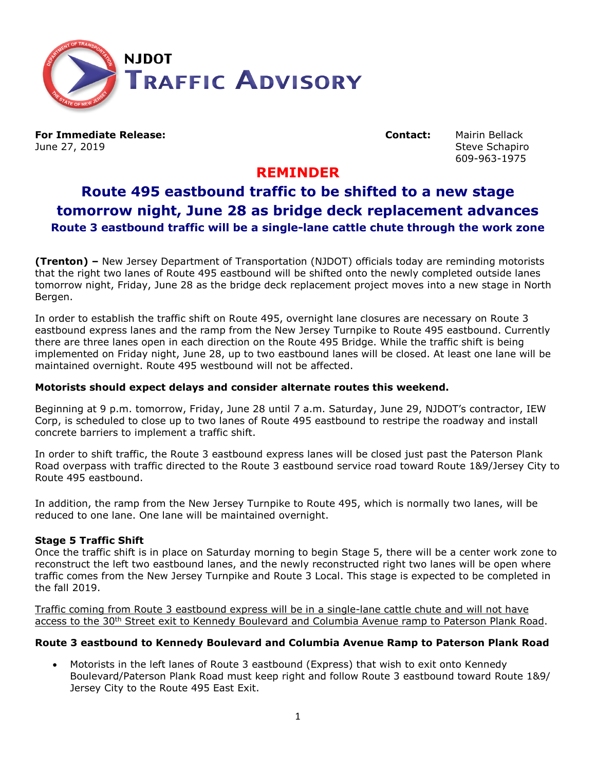

**For Immediate Release: Contact:** Mairin Bellack June 27, 2019 Steve Schapiro Steve Schapiro Steve Schapiro Steve Schapiro

609-963-1975

## **REMINDER**

# **Route 495 eastbound traffic to be shifted to a new stage tomorrow night, June 28 as bridge deck replacement advances Route 3 eastbound traffic will be a single-lane cattle chute through the work zone**

**(Trenton) –** New Jersey Department of Transportation (NJDOT) officials today are reminding motorists that the right two lanes of Route 495 eastbound will be shifted onto the newly completed outside lanes tomorrow night, Friday, June 28 as the bridge deck replacement project moves into a new stage in North Bergen.

In order to establish the traffic shift on Route 495, overnight lane closures are necessary on Route 3 eastbound express lanes and the ramp from the New Jersey Turnpike to Route 495 eastbound. Currently there are three lanes open in each direction on the Route 495 Bridge. While the traffic shift is being implemented on Friday night, June 28, up to two eastbound lanes will be closed. At least one lane will be maintained overnight. Route 495 westbound will not be affected.

### **Motorists should expect delays and consider alternate routes this weekend.**

Beginning at 9 p.m. tomorrow, Friday, June 28 until 7 a.m. Saturday, June 29, NJDOT's contractor, IEW Corp, is scheduled to close up to two lanes of Route 495 eastbound to restripe the roadway and install concrete barriers to implement a traffic shift.

In order to shift traffic, the Route 3 eastbound express lanes will be closed just past the Paterson Plank Road overpass with traffic directed to the Route 3 eastbound service road toward Route 1&9/Jersey City to Route 495 eastbound.

In addition, the ramp from the New Jersey Turnpike to Route 495, which is normally two lanes, will be reduced to one lane. One lane will be maintained overnight.

#### **Stage 5 Traffic Shift**

Once the traffic shift is in place on Saturday morning to begin Stage 5, there will be a center work zone to reconstruct the left two eastbound lanes, and the newly reconstructed right two lanes will be open where traffic comes from the New Jersey Turnpike and Route 3 Local. This stage is expected to be completed in the fall 2019.

Traffic coming from Route 3 eastbound express will be in a single-lane cattle chute and will not have access to the 30<sup>th</sup> Street exit to Kennedy Boulevard and Columbia Avenue ramp to Paterson Plank Road.

#### **Route 3 eastbound to Kennedy Boulevard and Columbia Avenue Ramp to Paterson Plank Road**

• Motorists in the left lanes of Route 3 eastbound (Express) that wish to exit onto Kennedy Boulevard/Paterson Plank Road must keep right and follow Route 3 eastbound toward Route 1&9/ Jersey City to the Route 495 East Exit.